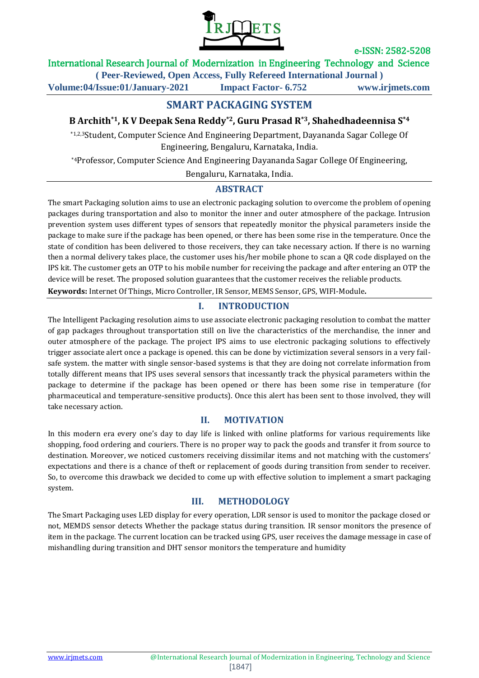

## International Research Journal of Modernization in Engineering Technology and Science

**( Peer-Reviewed, Open Access, Fully Refereed International Journal )**

**Volume:04/Issue:01/January-2021 Impact Factor- 6.752 www.irjmets.com**

## **SMART PACKAGING SYSTEM**

## **B Archith\*1, K V Deepak Sena Reddy\*2, Guru Prasad R\*3, Shahedhadeennisa S\*4**

\*1,2,3Student, Computer Science And Engineering Department, Dayananda Sagar College Of Engineering, Bengaluru, Karnataka, India.

\*4Professor, Computer Science And Engineering Dayananda Sagar College Of Engineering,

Bengaluru, Karnataka, India.

#### **ABSTRACT**

The smart Packaging solution aims to use an electronic packaging solution to overcome the problem of opening packages during transportation and also to monitor the inner and outer atmosphere of the package. Intrusion prevention system uses different types of sensors that repeatedly monitor the physical parameters inside the package to make sure if the package has been opened, or there has been some rise in the temperature. Once the state of condition has been delivered to those receivers, they can take necessary action. If there is no warning then a normal delivery takes place, the customer uses his/her mobile phone to scan a QR code displayed on the IPS kit. The customer gets an OTP to his mobile number for receiving the package and after entering an OTP the device will be reset. The proposed solution guarantees that the customer receives the reliable products.

**Keywords:** Internet Of Things, Micro Controller, IR Sensor, MEMS Sensor, GPS, WIFI-Module**.**

#### **I. INTRODUCTION**

The Intelligent Packaging resolution aims to use associate electronic packaging resolution to combat the matter of gap packages throughout transportation still on live the characteristics of the merchandise, the inner and outer atmosphere of the package. The project IPS aims to use electronic packaging solutions to effectively trigger associate alert once a package is opened. this can be done by victimization several sensors in a very failsafe system. the matter with single sensor-based systems is that they are doing not correlate information from totally different means that IPS uses several sensors that incessantly track the physical parameters within the package to determine if the package has been opened or there has been some rise in temperature (for pharmaceutical and temperature-sensitive products). Once this alert has been sent to those involved, they will take necessary action.

#### **II. MOTIVATION**

In this modern era every one's day to day life is linked with online platforms for various requirements like shopping, food ordering and couriers. There is no proper way to pack the goods and transfer it from source to destination. Moreover, we noticed customers receiving dissimilar items and not matching with the customers' expectations and there is a chance of theft or replacement of goods during transition from sender to receiver. So, to overcome this drawback we decided to come up with effective solution to implement a smart packaging system.

#### **III. METHODOLOGY**

The Smart Packaging uses LED display for every operation, LDR sensor is used to monitor the package closed or not, MEMDS sensor detects Whether the package status during transition. IR sensor monitors the presence of item in the package. The current location can be tracked using GPS, user receives the damage message in case of mishandling during transition and DHT sensor monitors the temperature and humidity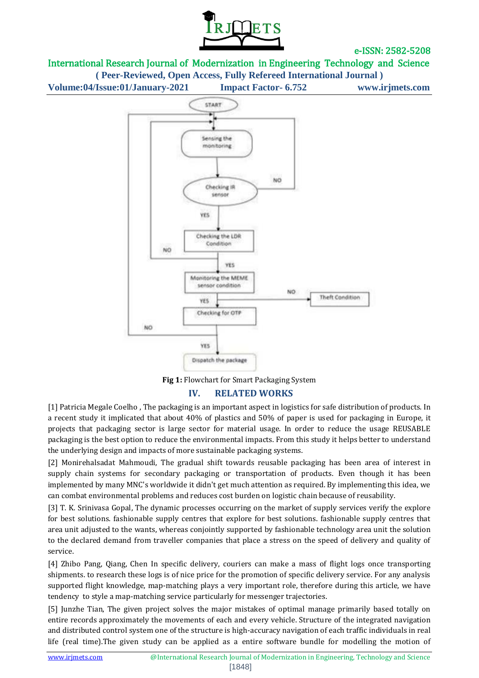

International Research Journal of Modernization in Engineering Technology and Science **( Peer-Reviewed, Open Access, Fully Refereed International Journal )**

**Volume:04/Issue:01/January-2021 Impact Factor- 6.752 www.irjmets.com**



**Fig 1:** Flowchart for Smart Packaging System

## **IV. RELATED WORKS**

[1] Patricia Megale Coelho , The packaging is an important aspect in logistics for safe distribution of products. In a recent study it implicated that about 40% of plastics and 50% of paper is used for packaging in Europe, it projects that packaging sector is large sector for material usage. In order to reduce the usage REUSABLE packaging is the best option to reduce the environmental impacts. From this study it helps better to understand the underlying design and impacts of more sustainable packaging systems.

[2] Monirehalsadat Mahmoudi, The gradual shift towards reusable packaging has been area of interest in supply chain systems for secondary packaging or transportation of products. Even though it has been implemented by many MNC's worldwide it didn't get much attention as required. By implementing this idea, we can combat environmental problems and reduces cost burden on logistic chain because of reusability.

[3] T. K. Srinivasa Gopal, The dynamic processes occurring on the market of supply services verify the explore for best solutions. fashionable supply centres that explore for best solutions. fashionable supply centres that area unit adjusted to the wants, whereas conjointly supported by fashionable technology area unit the solution to the declared demand from traveller companies that place a stress on the speed of delivery and quality of service.

[4] Zhibo Pang, Qiang, Chen In specific delivery, couriers can make a mass of flight logs once transporting shipments. to research these logs is of nice price for the promotion of specific delivery service. For any analysis supported flight knowledge, map-matching plays a very important role, therefore during this article, we have tendency to style a map-matching service particularly for messenger trajectories.

[5] Junzhe Tian, The given project solves the major mistakes of optimal manage primarily based totally on entire records approximately the movements of each and every vehicle. Structure of the integrated navigation and distributed control system one of the structure is high-accuracy navigation of each traffic individuals in real life (real time).The given study can be applied as a entire software bundle for modelling the motion of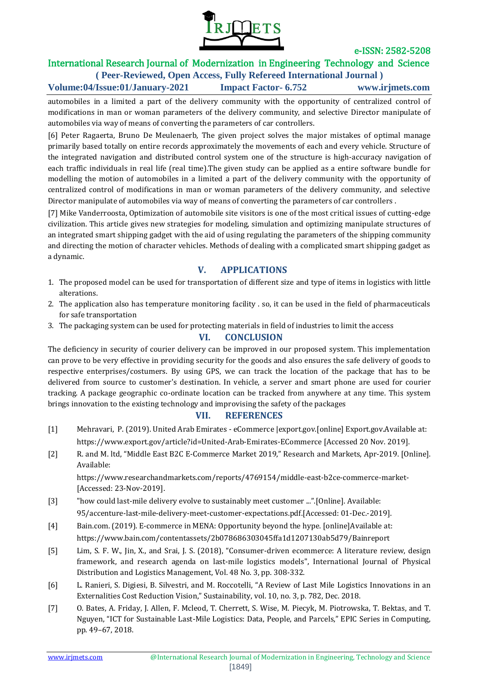

#### International Research Journal of Modernization in Engineering Technology and Science **( Peer-Reviewed, Open Access, Fully Refereed International Journal )**

**Volume:04/Issue:01/January-2021 Impact Factor- 6.752 www.irjmets.com**

automobiles in a limited a part of the delivery community with the opportunity of centralized control of modifications in man or woman parameters of the delivery community, and selective Director manipulate of automobiles via way of means of converting the parameters of car controllers.

[6] Peter Ragaerta, Bruno De Meulenaerb, The given project solves the major mistakes of optimal manage primarily based totally on entire records approximately the movements of each and every vehicle. Structure of the integrated navigation and distributed control system one of the structure is high-accuracy navigation of each traffic individuals in real life (real time).The given study can be applied as a entire software bundle for modelling the motion of automobiles in a limited a part of the delivery community with the opportunity of centralized control of modifications in man or woman parameters of the delivery community, and selective Director manipulate of automobiles via way of means of converting the parameters of car controllers .

[7] Mike Vanderroosta, Optimization of automobile site visitors is one of the most critical issues of cutting-edge civilization. This article gives new strategies for modeling, simulation and optimizing manipulate structures of an integrated smart shipping gadget with the aid of using regulating the parameters of the shipping community and directing the motion of character vehicles. Methods of dealing with a complicated smart shipping gadget as a dynamic.

# **V. APPLICATIONS**

- 1. The proposed model can be used for transportation of different size and type of items in logistics with little alterations.
- 2. The application also has temperature monitoring facility . so, it can be used in the field of pharmaceuticals for safe transportation
- 3. The packaging system can be used for protecting materials in field of industries to limit the access

## **VI. CONCLUSION**

The deficiency in security of courier delivery can be improved in our proposed system. This implementation can prove to be very effective in providing security for the goods and also ensures the safe delivery of goods to respective enterprises/costumers. By using GPS, we can track the location of the package that has to be delivered from source to customer's destination. In vehicle, a server and smart phone are used for courier tracking. A package geographic co-ordinate location can be tracked from anywhere at any time. This system brings innovation to the existing technology and improvising the safety of the packages

## **VII. REFERENCES**

- [1] Mehravari, P. (2019). United Arab Emirates eCommerce |export.gov.[online] Export.gov.Available at: https://www.export.gov/article?id=United-Arab-Emirates-ECommerce [Accessed 20 Nov. 2019].
- [2] R. and M. ltd, "Middle East B2C E-Commerce Market 2019," Research and Markets, Apr-2019. [Online]. Available:

https://www.researchandmarkets.com/reports/4769154/middle-east-b2ce-commerce-market- [Accessed: 23-Nov-2019].

- [3] "how could last-mile delivery evolve to sustainably meet customer ...".[Online]. Available: 95/accenture-last-mile-delivery-meet-customer-expectations.pdf.[Accessed: 01-Dec.-2019].
- [4] Bain.com. (2019). E-commerce in MENA: Opportunity beyond the hype. [online]Available at: https://www.bain.com/contentassets/2b078686303045ffa1d1207130ab5d79/Bainreport
- [5] Lim, S. F. W., Jin, X., and Srai, J. S. (2018), "Consumer-driven ecommerce: A literature review, design framework, and research agenda on last-mile logistics models", International Journal of Physical Distribution and Logistics Management, Vol. 48 No. 3, pp. 308-332.
- [6] L. Ranieri, S. Digiesi, B. Silvestri, and M. Roccotelli, "A Review of Last Mile Logistics Innovations in an Externalities Cost Reduction Vision," Sustainability, vol. 10, no. 3, p. 782, Dec. 2018.
- [7] O. Bates, A. Friday, J. Allen, F. Mcleod, T. Cherrett, S. Wise, M. Piecyk, M. Piotrowska, T. Bektas, and T. Nguyen, "ICT for Sustainable Last-Mile Logistics: Data, People, and Parcels," EPIC Series in Computing, pp. 49–67, 2018.